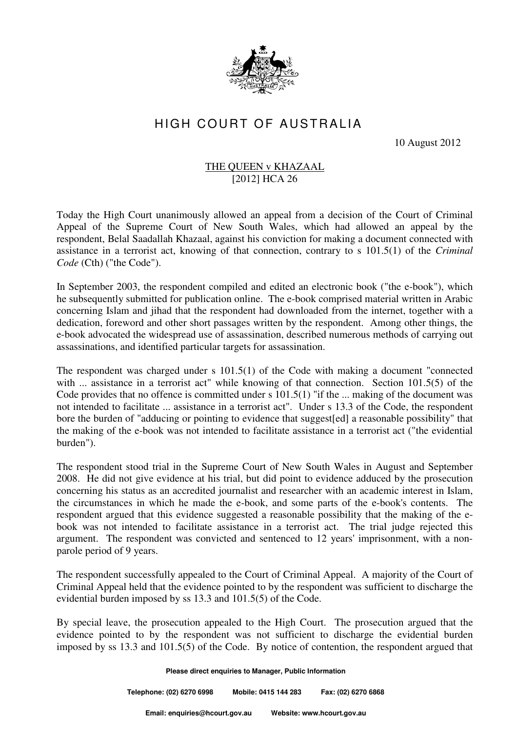

## HIGH COURT OF AUSTRALIA

10 August 2012

## THE QUEEN v KHAZAAL [2012] HCA 26

Today the High Court unanimously allowed an appeal from a decision of the Court of Criminal Appeal of the Supreme Court of New South Wales, which had allowed an appeal by the respondent, Belal Saadallah Khazaal, against his conviction for making a document connected with assistance in a terrorist act, knowing of that connection, contrary to s 101.5(1) of the *Criminal Code* (Cth) ("the Code").

In September 2003, the respondent compiled and edited an electronic book ("the e-book"), which he subsequently submitted for publication online. The e-book comprised material written in Arabic concerning Islam and jihad that the respondent had downloaded from the internet, together with a dedication, foreword and other short passages written by the respondent. Among other things, the e-book advocated the widespread use of assassination, described numerous methods of carrying out assassinations, and identified particular targets for assassination.

The respondent was charged under s 101.5(1) of the Code with making a document "connected with ... assistance in a terrorist act" while knowing of that connection. Section 101.5(5) of the Code provides that no offence is committed under s 101.5(1) "if the ... making of the document was not intended to facilitate ... assistance in a terrorist act". Under s 13.3 of the Code, the respondent bore the burden of "adducing or pointing to evidence that suggest[ed] a reasonable possibility" that the making of the e-book was not intended to facilitate assistance in a terrorist act ("the evidential burden").

The respondent stood trial in the Supreme Court of New South Wales in August and September 2008. He did not give evidence at his trial, but did point to evidence adduced by the prosecution concerning his status as an accredited journalist and researcher with an academic interest in Islam, the circumstances in which he made the e-book, and some parts of the e-book's contents. The respondent argued that this evidence suggested a reasonable possibility that the making of the ebook was not intended to facilitate assistance in a terrorist act. The trial judge rejected this argument. The respondent was convicted and sentenced to 12 years' imprisonment, with a nonparole period of 9 years.

The respondent successfully appealed to the Court of Criminal Appeal. A majority of the Court of Criminal Appeal held that the evidence pointed to by the respondent was sufficient to discharge the evidential burden imposed by ss 13.3 and 101.5(5) of the Code.

By special leave, the prosecution appealed to the High Court. The prosecution argued that the evidence pointed to by the respondent was not sufficient to discharge the evidential burden imposed by ss 13.3 and 101.5(5) of the Code. By notice of contention, the respondent argued that

**Please direct enquiries to Manager, Public Information** 

**Telephone: (02) 6270 6998 Mobile: 0415 144 283 Fax: (02) 6270 6868**